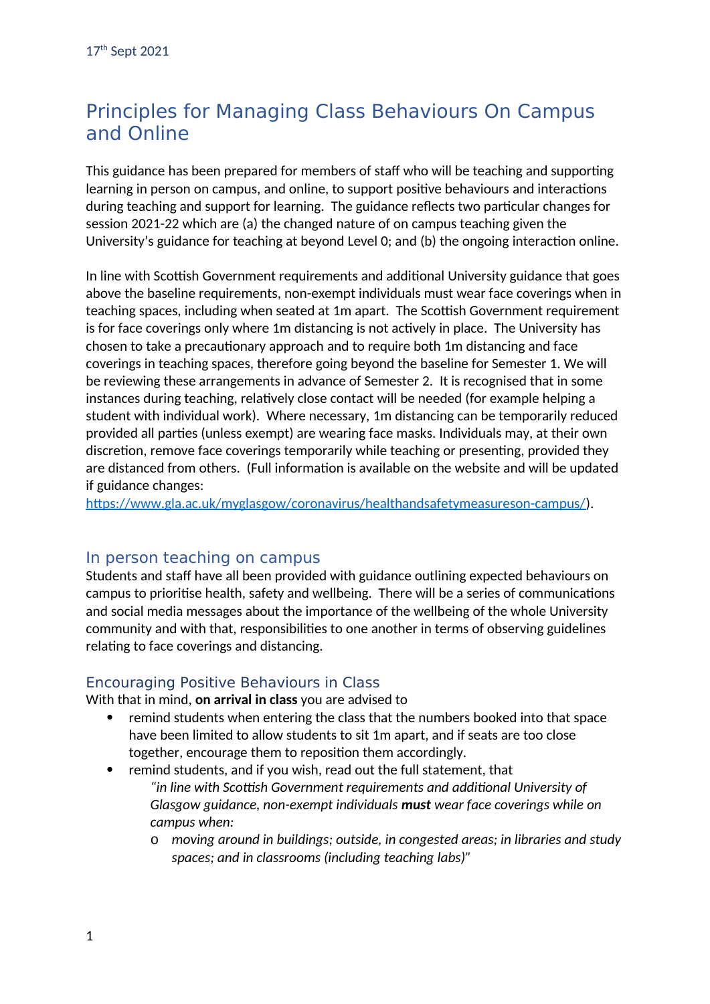# Principles for Managing Class Behaviours On Campus and Online

This guidance has been prepared for members of staff who will be teaching and supporting learning in person on campus, and online, to support positive behaviours and interactions during teaching and support for learning. The guidance reflects two particular changes for session 2021-22 which are (a) the changed nature of on campus teaching given the University's guidance for teaching at beyond Level 0; and (b) the ongoing interaction online.

In line with Scottish Government requirements and additional University guidance that goes above the baseline requirements, non-exempt individuals must wear face coverings when in teaching spaces, including when seated at 1m apart. The Scottish Government requirement is for face coverings only where 1m distancing is not actively in place. The University has chosen to take a precautionary approach and to require both 1m distancing and face coverings in teaching spaces, therefore going beyond the baseline for Semester 1. We will be reviewing these arrangements in advance of Semester 2. It is recognised that in some instances during teaching, relatively close contact will be needed (for example helping a student with individual work). Where necessary, 1m distancing can be temporarily reduced provided all parties (unless exempt) are wearing face masks. Individuals may, at their own discretion, remove face coverings temporarily while teaching or presenting, provided they are distanced from others. (Full information is available on the website and will be updated if guidance changes:

<https://www.gla.ac.uk/myglasgow/coronavirus/healthandsafetymeasureson-campus/>).

### In person teaching on campus

Students and staff have all been provided with guidance outlining expected behaviours on campus to prioritise health, safety and wellbeing. There will be a series of communications and social media messages about the importance of the wellbeing of the whole University community and with that, responsibilities to one another in terms of observing guidelines relating to face coverings and distancing.

### Encouraging Positive Behaviours in Class

With that in mind, **on arrival in class** you are advised to

- remind students when entering the class that the numbers booked into that space have been limited to allow students to sit 1m apart, and if seats are too close together, encourage them to reposition them accordingly.
- remind students, and if you wish, read out the full statement, that *"in line with Scottish Government requirements and additional University of Glasgow guidance, non-exempt individuals must wear face coverings while on campus when:*
	- o *moving around in buildings; outside, in congested areas; in libraries and study spaces; and in classrooms (including teaching labs)"*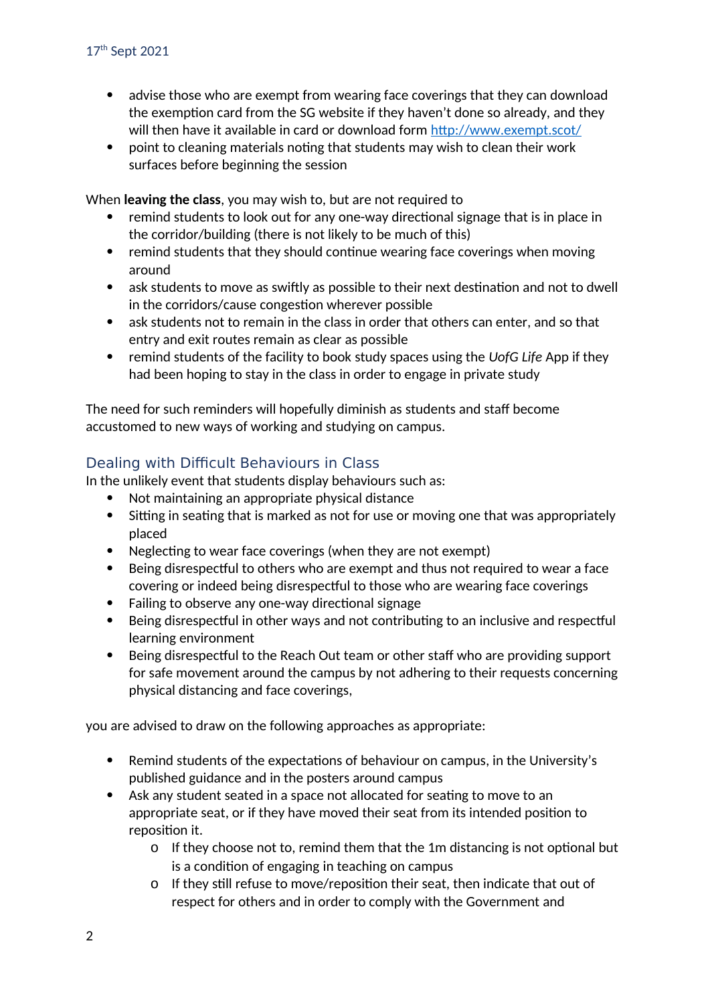- advise those who are exempt from wearing face coverings that they can download the exemption card from the SG website if they haven't done so already, and they will then have it available in card or download form<http://www.exempt.scot/>
- point to cleaning materials noting that students may wish to clean their work surfaces before beginning the session

When **leaving the class**, you may wish to, but are not required to

- remind students to look out for any one-way directional signage that is in place in the corridor/building (there is not likely to be much of this)
- remind students that they should continue wearing face coverings when moving around
- ask students to move as swiftly as possible to their next destination and not to dwell in the corridors/cause congestion wherever possible
- ask students not to remain in the class in order that others can enter, and so that entry and exit routes remain as clear as possible
- remind students of the facility to book study spaces using the *UofG Life* App if they had been hoping to stay in the class in order to engage in private study

The need for such reminders will hopefully diminish as students and staff become accustomed to new ways of working and studying on campus.

### Dealing with Difficult Behaviours in Class

In the unlikely event that students display behaviours such as:

- Not maintaining an appropriate physical distance
- Sitting in seating that is marked as not for use or moving one that was appropriately placed
- Neglecting to wear face coverings (when they are not exempt)
- Being disrespectful to others who are exempt and thus not required to wear a face covering or indeed being disrespectful to those who are wearing face coverings
- Failing to observe any one-way directional signage
- Being disrespectful in other ways and not contributing to an inclusive and respectful learning environment
- Being disrespectful to the Reach Out team or other staff who are providing support for safe movement around the campus by not adhering to their requests concerning physical distancing and face coverings,

you are advised to draw on the following approaches as appropriate:

- Remind students of the expectations of behaviour on campus, in the University's published guidance and in the posters around campus
- Ask any student seated in a space not allocated for seating to move to an appropriate seat, or if they have moved their seat from its intended position to reposition it.
	- o If they choose not to, remind them that the 1m distancing is not optional but is a condition of engaging in teaching on campus
	- o If they still refuse to move/reposition their seat, then indicate that out of respect for others and in order to comply with the Government and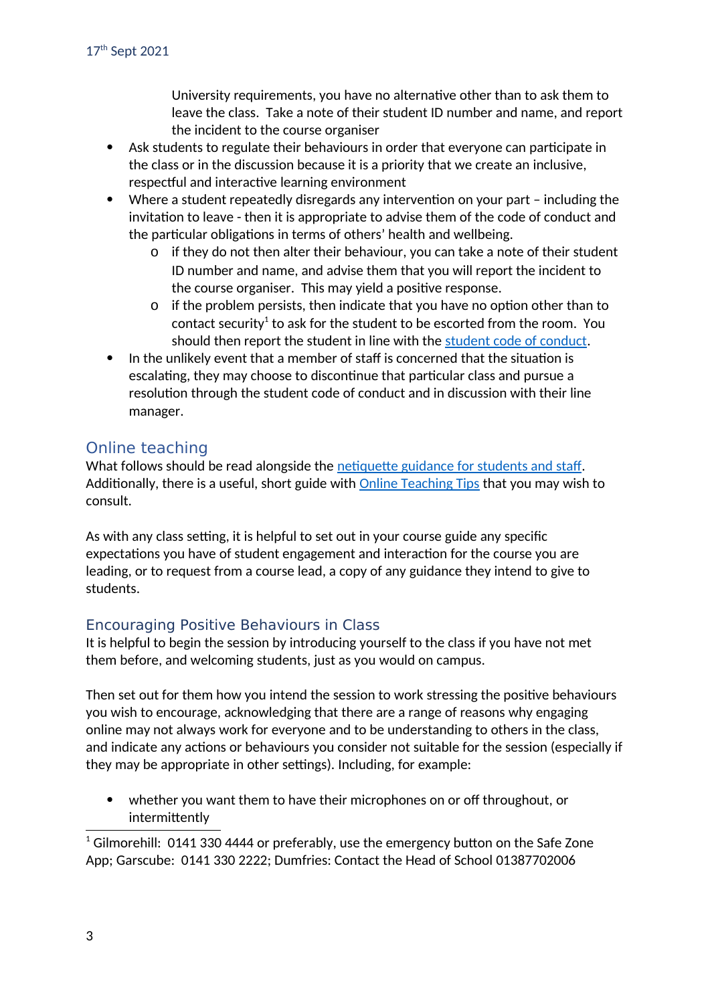University requirements, you have no alternative other than to ask them to leave the class. Take a note of their student ID number and name, and report the incident to the course organiser

- Ask students to regulate their behaviours in order that everyone can participate in the class or in the discussion because it is a priority that we create an inclusive, respectful and interactive learning environment
- Where a student repeatedly disregards any intervention on your part including the invitation to leave - then it is appropriate to advise them of the code of conduct and the particular obligations in terms of others' health and wellbeing.
	- o if they do not then alter their behaviour, you can take a note of their student ID number and name, and advise them that you will report the incident to the course organiser. This may yield a positive response.
	- o if the problem persists, then indicate that you have no option other than to contact security<sup>[1](#page-2-0)</sup> to ask for the student to be escorted from the room. You should then report the student in line with the [student code of conduct](https://www.gla.ac.uk/myglasgow/senateoffice/studentcodes/studentconductstaff/).
- In the unlikely event that a member of staff is concerned that the situation is escalating, they may choose to discontinue that particular class and pursue a resolution through the student code of conduct and in discussion with their line manager.

# Online teaching

What follows should be read alongside the [netiquette guidance for students and staff](https://moodle.gla.ac.uk/course/view.php?id=11911#section-1). Additionally, there is a useful, short guide with **Online Teaching Tips** that you may wish to consult.

As with any class setting, it is helpful to set out in your course guide any specific expectations you have of student engagement and interaction for the course you are leading, or to request from a course lead, a copy of any guidance they intend to give to students.

### Encouraging Positive Behaviours in Class

It is helpful to begin the session by introducing yourself to the class if you have not met them before, and welcoming students, just as you would on campus.

Then set out for them how you intend the session to work stressing the positive behaviours you wish to encourage, acknowledging that there are a range of reasons why engaging online may not always work for everyone and to be understanding to others in the class, and indicate any actions or behaviours you consider not suitable for the session (especially if they may be appropriate in other settings). Including, for example:

 whether you want them to have their microphones on or off throughout, or intermittently

<span id="page-2-0"></span> $1$  Gilmorehill: 0141 330 4444 or preferably, use the emergency button on the Safe Zone App; Garscube: 0141 330 2222; Dumfries: Contact the Head of School 01387702006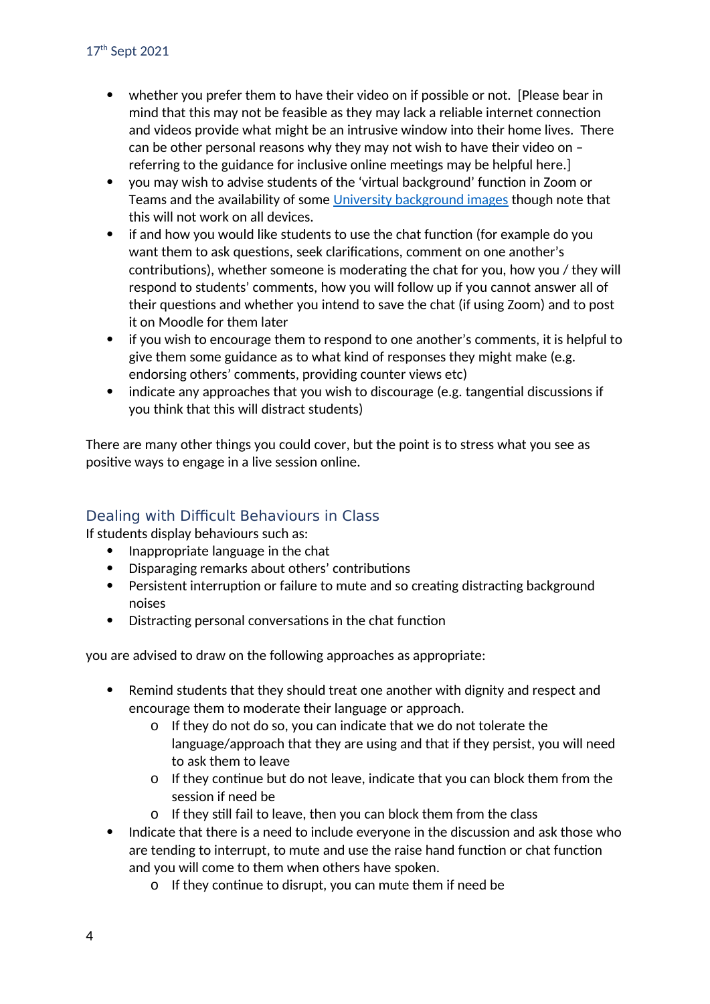- whether you prefer them to have their video on if possible or not. [Please bear in mind that this may not be feasible as they may lack a reliable internet connection and videos provide what might be an intrusive window into their home lives. There can be other personal reasons why they may not wish to have their video on – referring to the guidance for inclusive online meetings may be helpful here.]
- you may wish to advise students of the 'virtual background' function in Zoom or Teams and the availability of some [University background images](https://www.gla.ac.uk/myglasgow/staff/brandtoolkit/resources/sourcephotography/imagesforvideoconferencing/) though note that this will not work on all devices.
- if and how you would like students to use the chat function (for example do you want them to ask questions, seek clarifications, comment on one another's contributions), whether someone is moderating the chat for you, how you / they will respond to students' comments, how you will follow up if you cannot answer all of their questions and whether you intend to save the chat (if using Zoom) and to post it on Moodle for them later
- if you wish to encourage them to respond to one another's comments, it is helpful to give them some guidance as to what kind of responses they might make (e.g. endorsing others' comments, providing counter views etc)
- indicate any approaches that you wish to discourage (e.g. tangential discussions if you think that this will distract students)

There are many other things you could cover, but the point is to stress what you see as positive ways to engage in a live session online.

# Dealing with Difficult Behaviours in Class

If students display behaviours such as:

- Inappropriate language in the chat
- Disparaging remarks about others' contributions
- Persistent interruption or failure to mute and so creating distracting background noises
- Distracting personal conversations in the chat function

you are advised to draw on the following approaches as appropriate:

- Remind students that they should treat one another with dignity and respect and encourage them to moderate their language or approach.
	- o If they do not do so, you can indicate that we do not tolerate the language/approach that they are using and that if they persist, you will need to ask them to leave
	- o If they continue but do not leave, indicate that you can block them from the session if need be
	- o If they still fail to leave, then you can block them from the class
- Indicate that there is a need to include everyone in the discussion and ask those who are tending to interrupt, to mute and use the raise hand function or chat function and you will come to them when others have spoken.
	- o If they continue to disrupt, you can mute them if need be